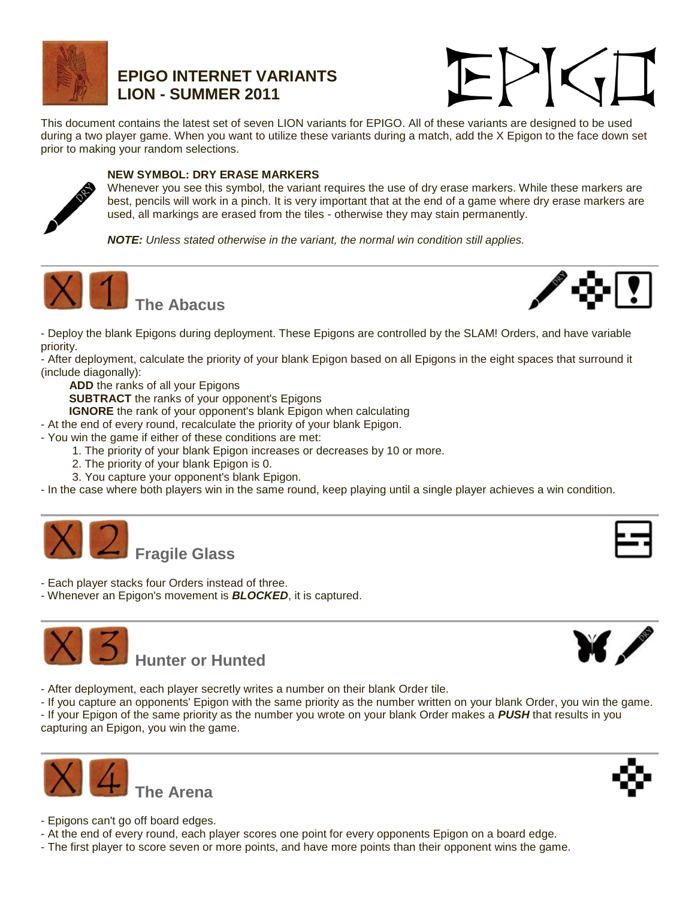

## **EPIGO INTERNET VARIANTS LION - SUMMER 2011**



This document contains the latest set of seven LION variants for EPIGO. All of these variants are designed to be used during a two player game. When you want to utilize these variants during a match, add the X Epigon to the face down set prior to making your random selections.



## **NEW SYMBOL: DRY ERASE MARKERS**

Whenever you see this symbol, the variant requires the use of dry erase markers. While these markers are best, pencils will work in a pinch. It is very important that at the end of a game where dry erase markers are used, all markings are erased from the tiles - otherwise they may stain permanently.

*NOTE: Unless stated otherwise in the variant, the normal win condition still applies.*





- Deploy the blank Epigons during deployment. These Epigons are controlled by the SLAM! Orders, and have variable priority.

- After deployment, calculate the priority of your blank Epigon based on all Epigons in the eight spaces that surround it (include diagonally):

**ADD** the ranks of all your Epigons

**SUBTRACT** the ranks of your opponent's Epigons

**IGNORE** the rank of your opponent's blank Epigon when calculating

- At the end of every round, recalculate the priority of your blank Epigon.

- You win the game if either of these conditions are met:
	- 1. The priority of your blank Epigon increases or decreases by 10 or more.
	- 2. The priority of your blank Epigon is 0.
	- 3. You capture your opponent's blank Epigon.

- In the case where both players win in the same round, keep playing until a single player achieves a win condition.



- Each player stacks four Orders instead of three.
- Whenever an Epigon's movement is *BLOCKED*, it is captured.





- After deployment, each player secretly writes a number on their blank Order tile.

- If you capture an opponents' Epigon with the same priority as the number written on your blank Order, you win the game. - If your Epigon of the same priority as the number you wrote on your blank Order makes a *PUSH* that results in you capturing an Epigon, you win the game.





- Epigons can't go off board edges.
- At the end of every round, each player scores one point for every opponents Epigon on a board edge.
- The first player to score seven or more points, and have more points than their opponent wins the game.